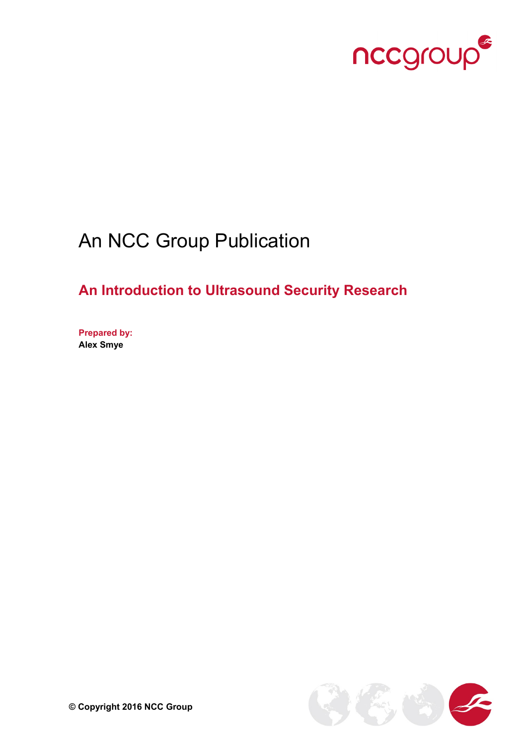

# An NCC Group Publication

## **An Introduction to Ultrasound Security Research**

**Prepared by: Alex Smye**

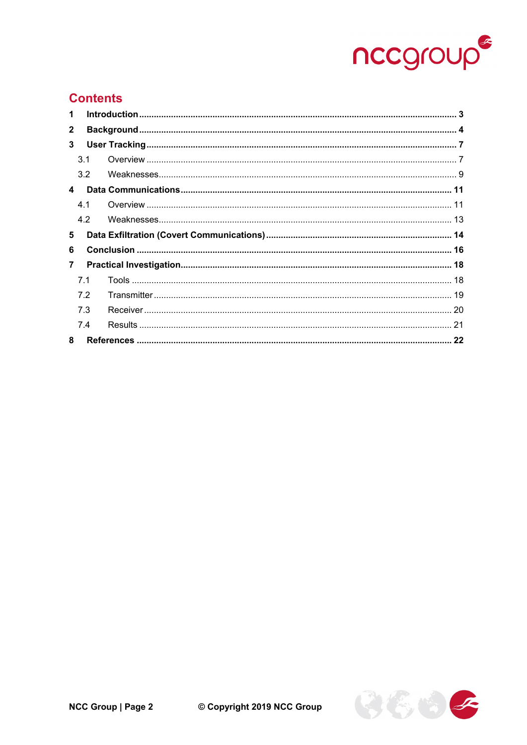

### **Contents**

| $\mathbf 1$    |                |  |  |  |  |  |  |
|----------------|----------------|--|--|--|--|--|--|
| $\mathbf{2}$   |                |  |  |  |  |  |  |
| 3              |                |  |  |  |  |  |  |
|                | 3.1            |  |  |  |  |  |  |
|                | 3.2            |  |  |  |  |  |  |
| 4              |                |  |  |  |  |  |  |
|                | 4.1            |  |  |  |  |  |  |
|                | 4.2            |  |  |  |  |  |  |
|                |                |  |  |  |  |  |  |
| 5              |                |  |  |  |  |  |  |
| 6              |                |  |  |  |  |  |  |
| $\overline{7}$ |                |  |  |  |  |  |  |
|                | 7 <sub>1</sub> |  |  |  |  |  |  |
|                | 7.2            |  |  |  |  |  |  |
|                | 7.3            |  |  |  |  |  |  |
|                | 7.4            |  |  |  |  |  |  |

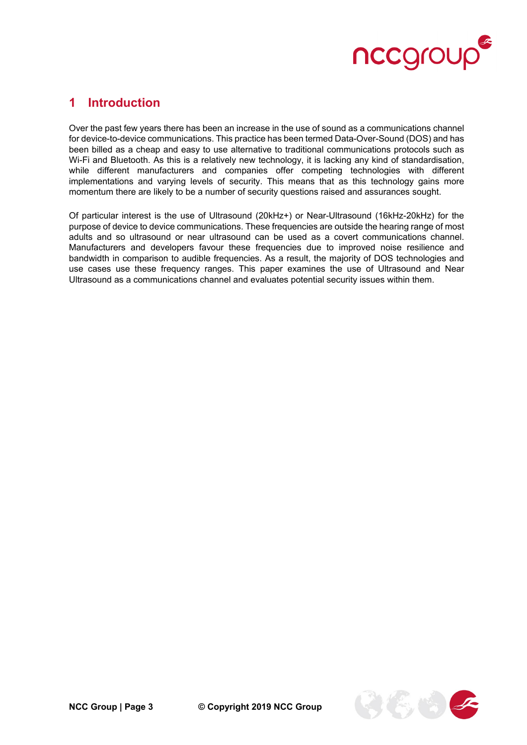

### <span id="page-2-0"></span>**1 Introduction**

Over the past few years there has been an increase in the use of sound as a communications channel for device-to-device communications. This practice has been termed Data-Over-Sound (DOS) and has been billed as a cheap and easy to use alternative to traditional communications protocols such as Wi-Fi and Bluetooth. As this is a relatively new technology, it is lacking any kind of standardisation, while different manufacturers and companies offer competing technologies with different implementations and varying levels of security. This means that as this technology gains more momentum there are likely to be a number of security questions raised and assurances sought.

Of particular interest is the use of Ultrasound (20kHz+) or Near-Ultrasound (16kHz-20kHz) for the purpose of device to device communications. These frequencies are outside the hearing range of most adults and so ultrasound or near ultrasound can be used as a covert communications channel. Manufacturers and developers favour these frequencies due to improved noise resilience and bandwidth in comparison to audible frequencies. As a result, the majority of DOS technologies and use cases use these frequency ranges. This paper examines the use of Ultrasound and Near Ultrasound as a communications channel and evaluates potential security issues within them.

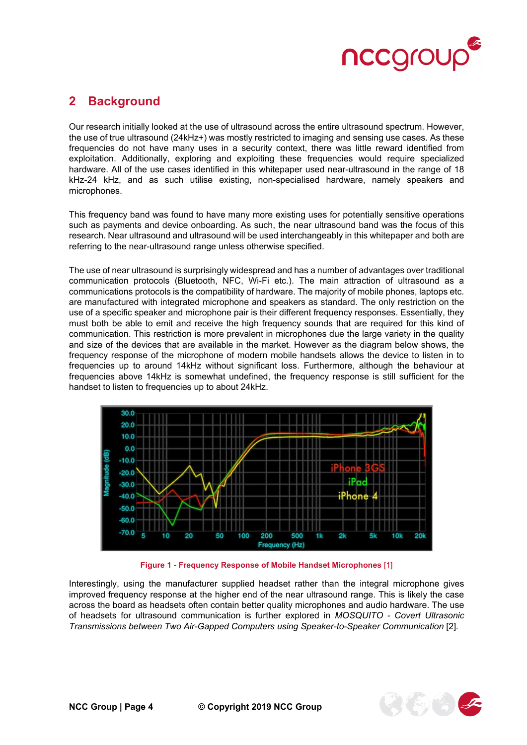

### <span id="page-3-0"></span>**2 Background**

Our research initially looked at the use of ultrasound across the entire ultrasound spectrum. However, the use of true ultrasound (24kHz+) was mostly restricted to imaging and sensing use cases. As these frequencies do not have many uses in a security context, there was little reward identified from exploitation. Additionally, exploring and exploiting these frequencies would require specialized hardware. All of the use cases identified in this whitepaper used near-ultrasound in the range of 18 kHz-24 kHz, and as such utilise existing, non-specialised hardware, namely speakers and microphones.

This frequency band was found to have many more existing uses for potentially sensitive operations such as payments and device onboarding. As such, the near ultrasound band was the focus of this research. Near ultrasound and ultrasound will be used interchangeably in this whitepaper and both are referring to the near-ultrasound range unless otherwise specified.

The use of near ultrasound is surprisingly widespread and has a number of advantages over traditional communication protocols (Bluetooth, NFC, Wi-Fi etc.). The main attraction of ultrasound as a communications protocols is the compatibility of hardware. The majority of mobile phones, laptops etc. are manufactured with integrated microphone and speakers as standard. The only restriction on the use of a specific speaker and microphone pair is their different frequency responses. Essentially, they must both be able to emit and receive the high frequency sounds that are required for this kind of communication. This restriction is more prevalent in microphones due the large variety in the quality and size of the devices that are available in the market. However as the diagram below shows, the frequency response of the microphone of modern mobile handsets allows the device to listen in to frequencies up to around 14kHz without significant loss. Furthermore, although the behaviour at frequencies above 14kHz is somewhat undefined, the frequency response is still sufficient for the handset to listen to frequencies up to about 24kHz.



**Figure 1 - Frequency Response of Mobile Handset Microphones** [1]

Interestingly, using the manufacturer supplied headset rather than the integral microphone gives improved frequency response at the higher end of the near ultrasound range. This is likely the case across the board as headsets often contain better quality microphones and audio hardware. The use of headsets for ultrasound communication is further explored in *MOSQUITO - Covert Ultrasonic Transmissions between Two Air-Gapped Computers using Speaker-to-Speaker Communication* [2]*.*

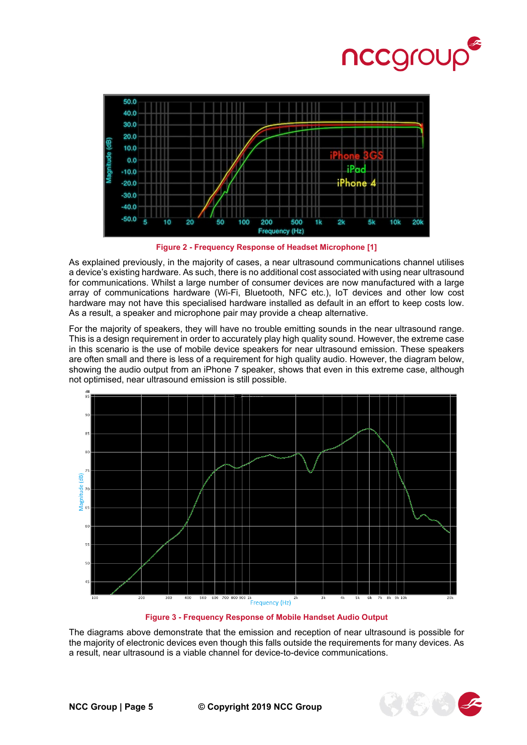



**Figure 2 - Frequency Response of Headset Microphone [1]**

As explained previously, in the majority of cases, a near ultrasound communications channel utilises a device's existing hardware. As such, there is no additional cost associated with using near ultrasound for communications. Whilst a large number of consumer devices are now manufactured with a large array of communications hardware (Wi-Fi, Bluetooth, NFC etc.), IoT devices and other low cost hardware may not have this specialised hardware installed as default in an effort to keep costs low. As a result, a speaker and microphone pair may provide a cheap alternative.

For the majority of speakers, they will have no trouble emitting sounds in the near ultrasound range. This is a design requirement in order to accurately play high quality sound. However, the extreme case in this scenario is the use of mobile device speakers for near ultrasound emission. These speakers are often small and there is less of a requirement for high quality audio. However, the diagram below, showing the audio output from an iPhone 7 speaker, shows that even in this extreme case, although not optimised, near ultrasound emission is still possible.



**Figure 3 - Frequency Response of Mobile Handset Audio Output**

The diagrams above demonstrate that the emission and reception of near ultrasound is possible for the majority of electronic devices even though this falls outside the requirements for many devices. As a result, near ultrasound is a viable channel for device-to-device communications.

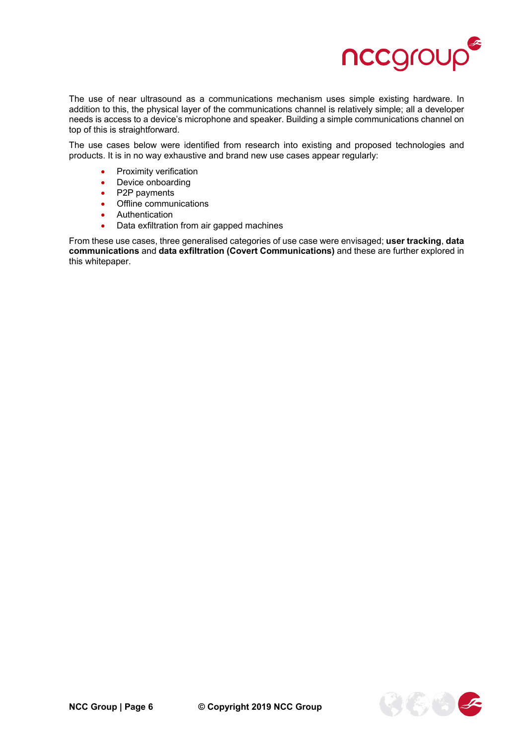

The use of near ultrasound as a communications mechanism uses simple existing hardware. In addition to this, the physical layer of the communications channel is relatively simple; all a developer needs is access to a device's microphone and speaker. Building a simple communications channel on top of this is straightforward.

The use cases below were identified from research into existing and proposed technologies and products. It is in no way exhaustive and brand new use cases appear regularly:

- Proximity verification
- Device onboarding
- P2P payments
- Offline communications
- Authentication
- Data exfiltration from air gapped machines

From these use cases, three generalised categories of use case were envisaged; **user tracking**, **data communications** and **data exfiltration (Covert Communications)** and these are further explored in this whitepaper.

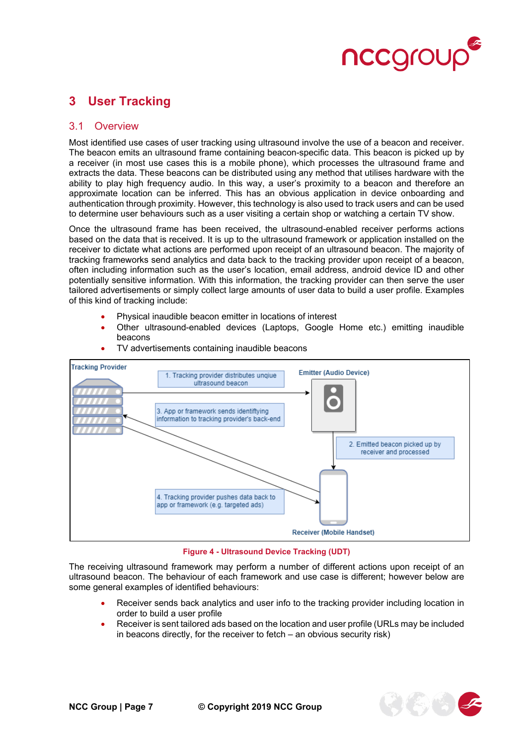

### <span id="page-6-0"></span>**3 User Tracking**

#### <span id="page-6-1"></span>3.1 Overview

Most identified use cases of user tracking using ultrasound involve the use of a beacon and receiver. The beacon emits an ultrasound frame containing beacon-specific data. This beacon is picked up by a receiver (in most use cases this is a mobile phone), which processes the ultrasound frame and extracts the data. These beacons can be distributed using any method that utilises hardware with the ability to play high frequency audio. In this way, a user's proximity to a beacon and therefore an approximate location can be inferred. This has an obvious application in device onboarding and authentication through proximity. However, this technology is also used to track users and can be used to determine user behaviours such as a user visiting a certain shop or watching a certain TV show.

Once the ultrasound frame has been received, the ultrasound-enabled receiver performs actions based on the data that is received. It is up to the ultrasound framework or application installed on the receiver to dictate what actions are performed upon receipt of an ultrasound beacon. The majority of tracking frameworks send analytics and data back to the tracking provider upon receipt of a beacon, often including information such as the user's location, email address, android device ID and other potentially sensitive information. With this information, the tracking provider can then serve the user tailored advertisements or simply collect large amounts of user data to build a user profile. Examples of this kind of tracking include:

- Physical inaudible beacon emitter in locations of interest
- Other ultrasound-enabled devices (Laptops, Google Home etc.) emitting inaudible beacons



• TV advertisements containing inaudible beacons

#### **Figure 4 - Ultrasound Device Tracking (UDT)**

The receiving ultrasound framework may perform a number of different actions upon receipt of an ultrasound beacon. The behaviour of each framework and use case is different; however below are some general examples of identified behaviours:

- Receiver sends back analytics and user info to the tracking provider including location in order to build a user profile
- Receiver is sent tailored ads based on the location and user profile (URLs may be included in beacons directly, for the receiver to fetch – an obvious security risk)

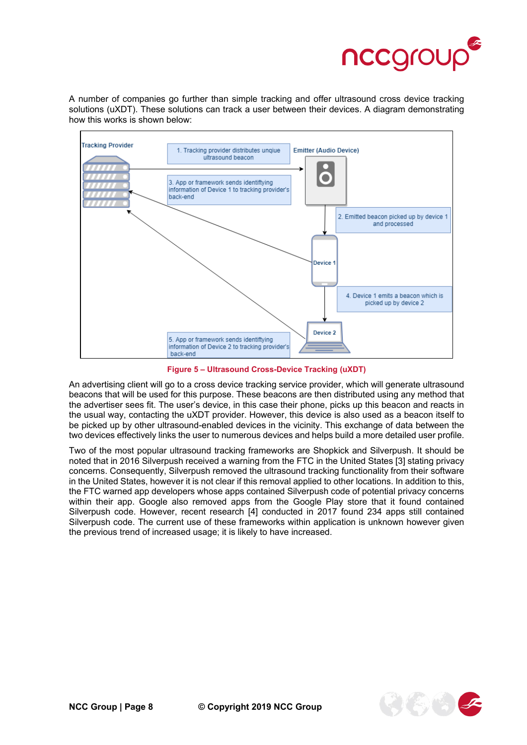

A number of companies go further than simple tracking and offer ultrasound cross device tracking solutions (uXDT). These solutions can track a user between their devices. A diagram demonstrating how this works is shown below:



**Figure 5 – Ultrasound Cross-Device Tracking (uXDT)**

An advertising client will go to a cross device tracking service provider, which will generate ultrasound beacons that will be used for this purpose. These beacons are then distributed using any method that the advertiser sees fit. The user's device, in this case their phone, picks up this beacon and reacts in the usual way, contacting the uXDT provider. However, this device is also used as a beacon itself to be picked up by other ultrasound-enabled devices in the vicinity. This exchange of data between the two devices effectively links the user to numerous devices and helps build a more detailed user profile.

Two of the most popular ultrasound tracking frameworks are Shopkick and Silverpush. It should be noted that in 2016 Silverpush received a warning from the FTC in the United States [3] stating privacy concerns. Consequently, Silverpush removed the ultrasound tracking functionality from their software in the United States, however it is not clear if this removal applied to other locations. In addition to this, the FTC warned app developers whose apps contained Silverpush code of potential privacy concerns within their app. Google also removed apps from the Google Play store that it found contained Silverpush code. However, recent research [4] conducted in 2017 found 234 apps still contained Silverpush code. The current use of these frameworks within application is unknown however given the previous trend of increased usage; it is likely to have increased.

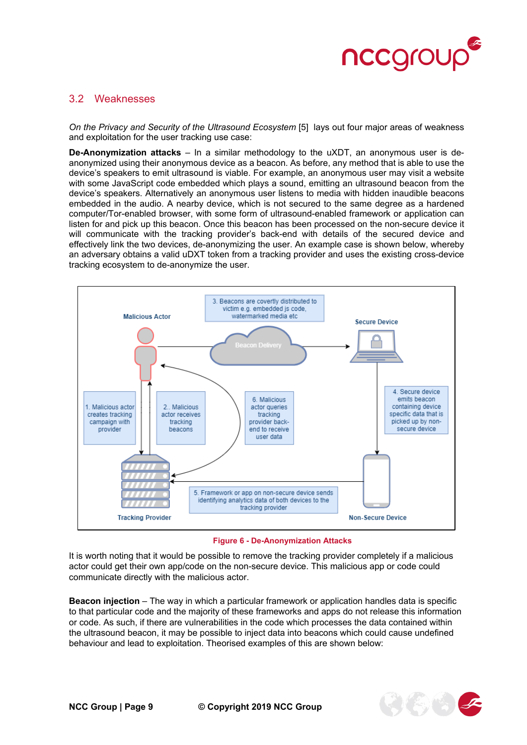

#### <span id="page-8-0"></span>3.2 Weaknesses

*On the Privacy and Security of the Ultrasound Ecosystem* [5] lays out four major areas of weakness and exploitation for the user tracking use case:

**De-Anonymization attacks** – In a similar methodology to the uXDT, an anonymous user is deanonymized using their anonymous device as a beacon. As before, any method that is able to use the device's speakers to emit ultrasound is viable. For example, an anonymous user may visit a website with some JavaScript code embedded which plays a sound, emitting an ultrasound beacon from the device's speakers. Alternatively an anonymous user listens to media with hidden inaudible beacons embedded in the audio. A nearby device, which is not secured to the same degree as a hardened computer/Tor-enabled browser, with some form of ultrasound-enabled framework or application can listen for and pick up this beacon. Once this beacon has been processed on the non-secure device it will communicate with the tracking provider's back-end with details of the secured device and effectively link the two devices, de-anonymizing the user. An example case is shown below, whereby an adversary obtains a valid uDXT token from a tracking provider and uses the existing cross-device tracking ecosystem to de-anonymize the user.



#### **Figure 6 - De-Anonymization Attacks**

It is worth noting that it would be possible to remove the tracking provider completely if a malicious actor could get their own app/code on the non-secure device. This malicious app or code could communicate directly with the malicious actor.

**Beacon injection** – The way in which a particular framework or application handles data is specific to that particular code and the majority of these frameworks and apps do not release this information or code. As such, if there are vulnerabilities in the code which processes the data contained within the ultrasound beacon, it may be possible to inject data into beacons which could cause undefined behaviour and lead to exploitation. Theorised examples of this are shown below:

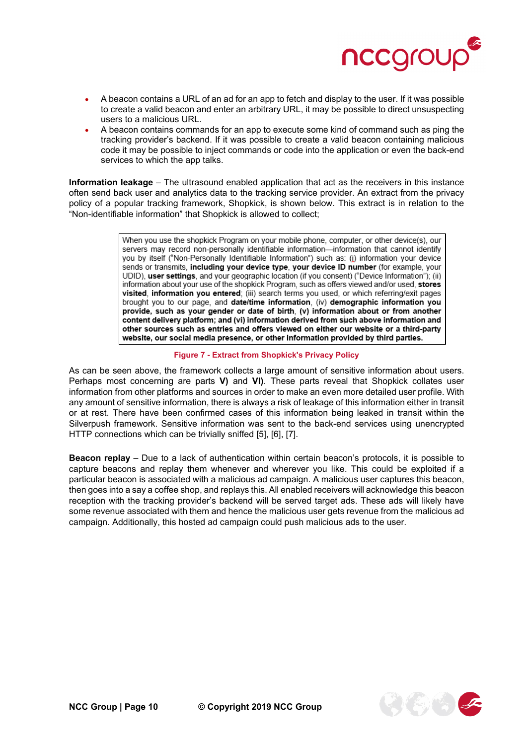

- A beacon contains a URL of an ad for an app to fetch and display to the user. If it was possible to create a valid beacon and enter an arbitrary URL, it may be possible to direct unsuspecting users to a malicious URL.
- A beacon contains commands for an app to execute some kind of command such as ping the tracking provider's backend. If it was possible to create a valid beacon containing malicious code it may be possible to inject commands or code into the application or even the back-end services to which the app talks.

**Information leakage** – The ultrasound enabled application that act as the receivers in this instance often send back user and analytics data to the tracking service provider. An extract from the privacy policy of a popular tracking framework, Shopkick, is shown below. This extract is in relation to the "Non-identifiable information" that Shopkick is allowed to collect;

> When you use the shopkick Program on your mobile phone, computer, or other device(s), our servers may record non-personally identifiable information—information that cannot identify you by itself ("Non-Personally Identifiable Information") such as: (i) information your device sends or transmits, including your device type, your device ID number (for example, your UDID), user settings, and your geographic location (if you consent) ("Device Information"); (ii) information about your use of the shopkick Program, such as offers viewed and/or used, stores visited, information you entered; (iii) search terms you used, or which referring/exit pages brought you to our page, and date/time information, (iv) demographic information you provide, such as your gender or date of birth, (v) information about or from another content delivery platform; and (vi) information derived from such above information and other sources such as entries and offers viewed on either our website or a third-party website, our social media presence, or other information provided by third parties.

#### **Figure 7 - Extract from Shopkick's Privacy Policy**

As can be seen above, the framework collects a large amount of sensitive information about users. Perhaps most concerning are parts **V)** and **VI)**. These parts reveal that Shopkick collates user information from other platforms and sources in order to make an even more detailed user profile. With any amount of sensitive information, there is always a risk of leakage of this information either in transit or at rest. There have been confirmed cases of this information being leaked in transit within the Silverpush framework. Sensitive information was sent to the back-end services using unencrypted HTTP connections which can be trivially sniffed [5], [6], [7].

**Beacon replay** – Due to a lack of authentication within certain beacon's protocols, it is possible to capture beacons and replay them whenever and wherever you like. This could be exploited if a particular beacon is associated with a malicious ad campaign. A malicious user captures this beacon, then goes into a say a coffee shop, and replays this. All enabled receivers will acknowledge this beacon reception with the tracking provider's backend will be served target ads. These ads will likely have some revenue associated with them and hence the malicious user gets revenue from the malicious ad campaign. Additionally, this hosted ad campaign could push malicious ads to the user.

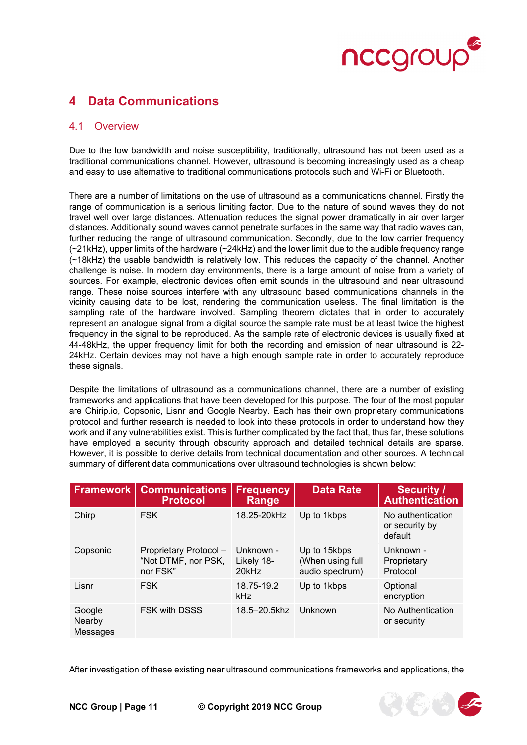

### <span id="page-10-0"></span>**4 Data Communications**

#### <span id="page-10-1"></span>4.1 Overview

Due to the low bandwidth and noise susceptibility, traditionally, ultrasound has not been used as a traditional communications channel. However, ultrasound is becoming increasingly used as a cheap and easy to use alternative to traditional communications protocols such and Wi-Fi or Bluetooth.

There are a number of limitations on the use of ultrasound as a communications channel. Firstly the range of communication is a serious limiting factor. Due to the nature of sound waves they do not travel well over large distances. Attenuation reduces the signal power dramatically in air over larger distances. Additionally sound waves cannot penetrate surfaces in the same way that radio waves can, further reducing the range of ultrasound communication. Secondly, due to the low carrier frequency (~21kHz), upper limits of the hardware (~24kHz) and the lower limit due to the audible frequency range (~18kHz) the usable bandwidth is relatively low. This reduces the capacity of the channel. Another challenge is noise. In modern day environments, there is a large amount of noise from a variety of sources. For example, electronic devices often emit sounds in the ultrasound and near ultrasound range. These noise sources interfere with any ultrasound based communications channels in the vicinity causing data to be lost, rendering the communication useless. The final limitation is the sampling rate of the hardware involved. Sampling theorem dictates that in order to accurately represent an analogue signal from a digital source the sample rate must be at least twice the highest frequency in the signal to be reproduced. As the sample rate of electronic devices is usually fixed at 44-48kHz, the upper frequency limit for both the recording and emission of near ultrasound is 22- 24kHz. Certain devices may not have a high enough sample rate in order to accurately reproduce these signals.

Despite the limitations of ultrasound as a communications channel, there are a number of existing frameworks and applications that have been developed for this purpose. The four of the most popular are Chirip.io, Copsonic, Lisnr and Google Nearby. Each has their own proprietary communications protocol and further research is needed to look into these protocols in order to understand how they work and if any vulnerabilities exist. This is further complicated by the fact that, thus far, these solutions have employed a security through obscurity approach and detailed technical details are sparse. However, it is possible to derive details from technical documentation and other sources. A technical summary of different data communications over ultrasound technologies is shown below:

| Framework                    | <b>Communications</b><br><b>Protocol</b>                  | <b>Frequency</b><br>Range        | <b>Data Rate</b>                                    | <b>Security /</b><br><b>Authentication</b>     |
|------------------------------|-----------------------------------------------------------|----------------------------------|-----------------------------------------------------|------------------------------------------------|
| Chirp                        | <b>FSK</b>                                                | 18.25-20kHz                      | Up to 1kbps                                         | No authentication<br>or security by<br>default |
| Copsonic                     | Proprietary Protocol -<br>"Not DTMF, nor PSK,<br>nor FSK" | Unknown -<br>Likely 18-<br>20kHz | Up to 15kbps<br>(When using full<br>audio spectrum) | Unknown -<br>Proprietary<br>Protocol           |
| Lisnr                        | <b>FSK</b>                                                | 18.75-19.2<br>kHz                | Up to 1kbps                                         | Optional<br>encryption                         |
| Google<br>Nearby<br>Messages | FSK with DSSS                                             | 18.5-20.5khz                     | Unknown                                             | No Authentication<br>or security               |

After investigation of these existing near ultrasound communications frameworks and applications, the

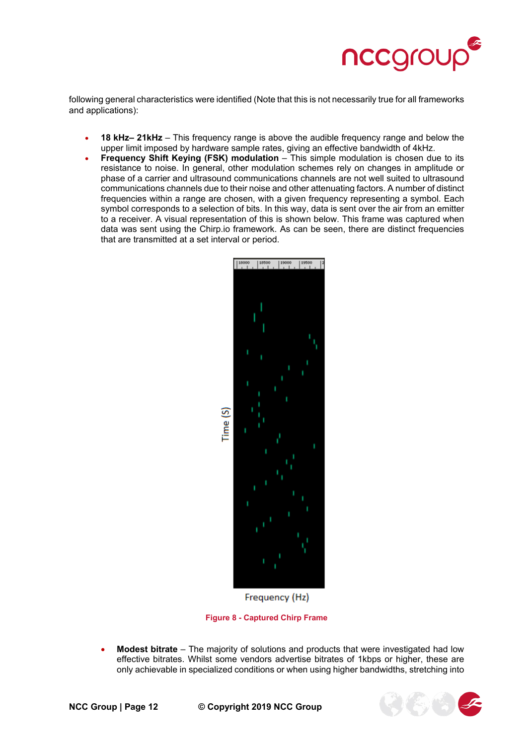

following general characteristics were identified (Note that this is not necessarily true for all frameworks and applications):

- **18 kHz– 21kHz** This frequency range is above the audible frequency range and below the upper limit imposed by hardware sample rates, giving an effective bandwidth of 4kHz.
- **Frequency Shift Keying (FSK) modulation** This simple modulation is chosen due to its resistance to noise. In general, other modulation schemes rely on changes in amplitude or phase of a carrier and ultrasound communications channels are not well suited to ultrasound communications channels due to their noise and other attenuating factors. A number of distinct frequencies within a range are chosen, with a given frequency representing a symbol. Each symbol corresponds to a selection of bits. In this way, data is sent over the air from an emitter to a receiver. A visual representation of this is shown below. This frame was captured when data was sent using the Chirp.io framework. As can be seen, there are distinct frequencies that are transmitted at a set interval or period.



Frequency (Hz)

**Figure 8 - Captured Chirp Frame**

• **Modest bitrate** – The majority of solutions and products that were investigated had low effective bitrates. Whilst some vendors advertise bitrates of 1kbps or higher, these are only achievable in specialized conditions or when using higher bandwidths, stretching into

**NCC Group | Page 12 © Copyright 2019 NCC Group**

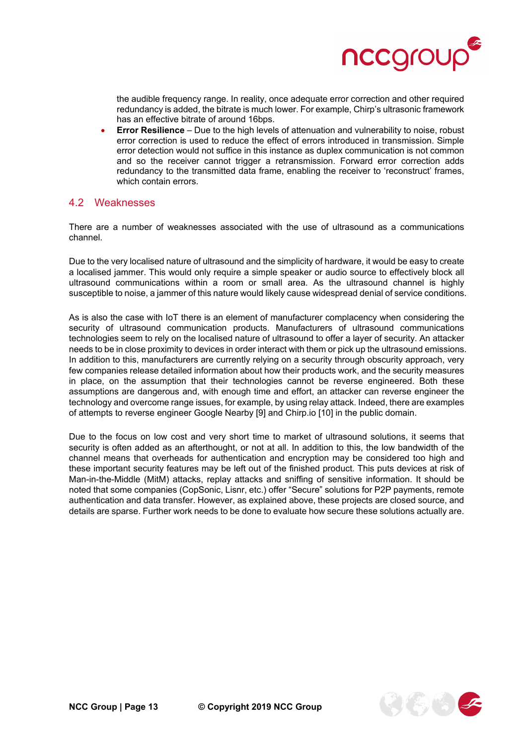

the audible frequency range. In reality, once adequate error correction and other required redundancy is added, the bitrate is much lower. For example, Chirp's ultrasonic framework has an effective bitrate of around 16bps.

• **Error Resilience** – Due to the high levels of attenuation and vulnerability to noise, robust error correction is used to reduce the effect of errors introduced in transmission. Simple error detection would not suffice in this instance as duplex communication is not common and so the receiver cannot trigger a retransmission. Forward error correction adds redundancy to the transmitted data frame, enabling the receiver to 'reconstruct' frames, which contain errors.

#### <span id="page-12-0"></span>4.2 Weaknesses

There are a number of weaknesses associated with the use of ultrasound as a communications channel.

Due to the very localised nature of ultrasound and the simplicity of hardware, it would be easy to create a localised jammer. This would only require a simple speaker or audio source to effectively block all ultrasound communications within a room or small area. As the ultrasound channel is highly susceptible to noise, a jammer of this nature would likely cause widespread denial of service conditions.

As is also the case with IoT there is an element of manufacturer complacency when considering the security of ultrasound communication products. Manufacturers of ultrasound communications technologies seem to rely on the localised nature of ultrasound to offer a layer of security. An attacker needs to be in close proximity to devices in order interact with them or pick up the ultrasound emissions. In addition to this, manufacturers are currently relying on a security through obscurity approach, very few companies release detailed information about how their products work, and the security measures in place, on the assumption that their technologies cannot be reverse engineered. Both these assumptions are dangerous and, with enough time and effort, an attacker can reverse engineer the technology and overcome range issues, for example, by using relay attack. Indeed, there are examples of attempts to reverse engineer Google Nearby [9] and Chirp.io [10] in the public domain.

Due to the focus on low cost and very short time to market of ultrasound solutions, it seems that security is often added as an afterthought, or not at all. In addition to this, the low bandwidth of the channel means that overheads for authentication and encryption may be considered too high and these important security features may be left out of the finished product. This puts devices at risk of Man-in-the-Middle (MitM) attacks, replay attacks and sniffing of sensitive information. It should be noted that some companies (CopSonic, Lisnr, etc.) offer "Secure" solutions for P2P payments, remote authentication and data transfer. However, as explained above, these projects are closed source, and details are sparse. Further work needs to be done to evaluate how secure these solutions actually are.

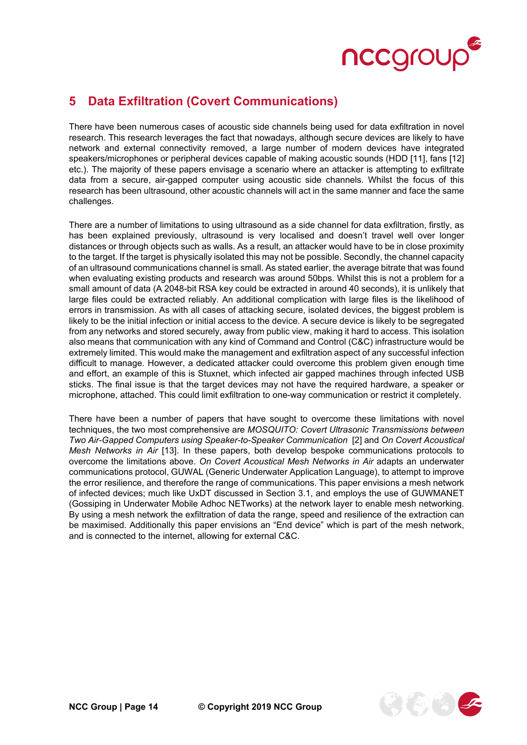

### <span id="page-13-0"></span>**5 Data Exfiltration (Covert Communications)**

There have been numerous cases of acoustic side channels being used for data exfiltration in novel research. This research leverages the fact that nowadays, although secure devices are likely to have network and external connectivity removed, a large number of modern devices have integrated speakers/microphones or peripheral devices capable of making acoustic sounds (HDD [11], fans [12] etc.). The majority of these papers envisage a scenario where an attacker is attempting to exfiltrate data from a secure, air-gapped computer using acoustic side channels. Whilst the focus of this research has been ultrasound, other acoustic channels will act in the same manner and face the same challenges.

There are a number of limitations to using ultrasound as a side channel for data exfiltration, firstly, as has been explained previously, ultrasound is very localised and doesn't travel well over longer distances or through objects such as walls. As a result, an attacker would have to be in close proximity to the target. If the target is physically isolated this may not be possible. Secondly, the channel capacity of an ultrasound communications channel is small. As stated earlier, the average bitrate that was found when evaluating existing products and research was around 50bps. Whilst this is not a problem for a small amount of data (A 2048-bit RSA key could be extracted in around 40 seconds), it is unlikely that large files could be extracted reliably. An additional complication with large files is the likelihood of errors in transmission. As with all cases of attacking secure, isolated devices, the biggest problem is likely to be the initial infection or initial access to the device. A secure device is likely to be segregated from any networks and stored securely, away from public view, making it hard to access. This isolation also means that communication with any kind of Command and Control (C&C) infrastructure would be extremely limited. This would make the management and exfiltration aspect of any successful infection difficult to manage. However, a dedicated attacker could overcome this problem given enough time and effort, an example of this is Stuxnet, which infected air gapped machines through infected USB sticks. The final issue is that the target devices may not have the required hardware, a speaker or microphone, attached. This could limit exfiltration to one-way communication or restrict it completely.

There have been a number of papers that have sought to overcome these limitations with novel techniques, the two most comprehensive are *MOSQUITO: Covert Ultrasonic Transmissions between Two Air-Gapped Computers using Speaker-to-Speaker Communication* [2] and *On Covert Acoustical Mesh Networks in Air* [13]. In these papers, both develop bespoke communications protocols to overcome the limitations above. *On Covert Acoustical Mesh Networks in Air* adapts an underwater communications protocol, GUWAL (Generic Underwater Application Language), to attempt to improve the error resilience, and therefore the range of communications. This paper envisions a mesh network of infected devices; much like UxDT discussed in Section [3.1,](#page-6-1) and employs the use of GUWMANET (Gossiping in Underwater Mobile Adhoc NETworks) at the network layer to enable mesh networking. By using a mesh network the exfiltration of data the range, speed and resilience of the extraction can be maximised. Additionally this paper envisions an "End device" which is part of the mesh network, and is connected to the internet, allowing for external C&C.

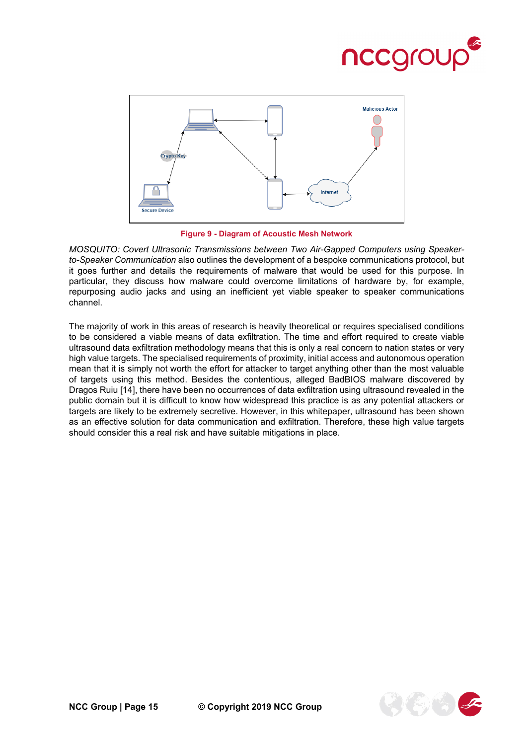



**Figure 9 - Diagram of Acoustic Mesh Network**

*MOSQUITO: Covert Ultrasonic Transmissions between Two Air-Gapped Computers using Speakerto-Speaker Communication* also outlines the development of a bespoke communications protocol, but it goes further and details the requirements of malware that would be used for this purpose. In particular, they discuss how malware could overcome limitations of hardware by, for example, repurposing audio jacks and using an inefficient yet viable speaker to speaker communications channel.

The majority of work in this areas of research is heavily theoretical or requires specialised conditions to be considered a viable means of data exfiltration. The time and effort required to create viable ultrasound data exfiltration methodology means that this is only a real concern to nation states or very high value targets. The specialised requirements of proximity, initial access and autonomous operation mean that it is simply not worth the effort for attacker to target anything other than the most valuable of targets using this method. Besides the contentious, alleged BadBIOS malware discovered by Dragos Ruiu [14], there have been no occurrences of data exfiltration using ultrasound revealed in the public domain but it is difficult to know how widespread this practice is as any potential attackers or targets are likely to be extremely secretive. However, in this whitepaper, ultrasound has been shown as an effective solution for data communication and exfiltration. Therefore, these high value targets should consider this a real risk and have suitable mitigations in place.

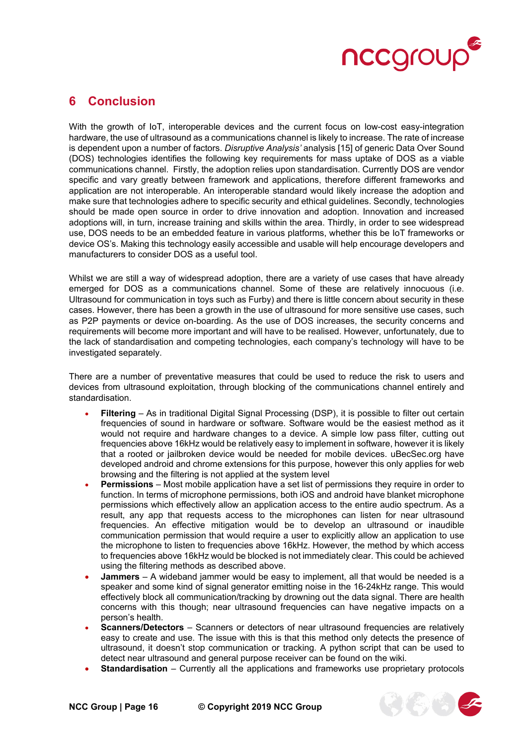

### <span id="page-15-0"></span>**6 Conclusion**

With the growth of IoT, interoperable devices and the current focus on low-cost easy-integration hardware, the use of ultrasound as a communications channel is likely to increase. The rate of increase is dependent upon a number of factors. *Disruptive Analysis'* analysis [15] of generic Data Over Sound (DOS) technologies identifies the following key requirements for mass uptake of DOS as a viable communications channel. Firstly, the adoption relies upon standardisation. Currently DOS are vendor specific and vary greatly between framework and applications, therefore different frameworks and application are not interoperable. An interoperable standard would likely increase the adoption and make sure that technologies adhere to specific security and ethical guidelines. Secondly, technologies should be made open source in order to drive innovation and adoption. Innovation and increased adoptions will, in turn, increase training and skills within the area. Thirdly, in order to see widespread use, DOS needs to be an embedded feature in various platforms, whether this be IoT frameworks or device OS's. Making this technology easily accessible and usable will help encourage developers and manufacturers to consider DOS as a useful tool.

Whilst we are still a way of widespread adoption, there are a variety of use cases that have already emerged for DOS as a communications channel. Some of these are relatively innocuous (i.e. Ultrasound for communication in toys such as Furby) and there is little concern about security in these cases. However, there has been a growth in the use of ultrasound for more sensitive use cases, such as P2P payments or device on-boarding. As the use of DOS increases, the security concerns and requirements will become more important and will have to be realised. However, unfortunately, due to the lack of standardisation and competing technologies, each company's technology will have to be investigated separately.

There are a number of preventative measures that could be used to reduce the risk to users and devices from ultrasound exploitation, through blocking of the communications channel entirely and standardisation.

- **Filtering** As in traditional Digital Signal Processing (DSP), it is possible to filter out certain frequencies of sound in hardware or software. Software would be the easiest method as it would not require and hardware changes to a device. A simple low pass filter, cutting out frequencies above 16kHz would be relatively easy to implement in software, however it is likely that a rooted or jailbroken device would be needed for mobile devices. uBecSec.org have developed android and chrome extensions for this purpose, however this only applies for web browsing and the filtering is not applied at the system level
- **Permissions** Most mobile application have a set list of permissions they require in order to function. In terms of microphone permissions, both iOS and android have blanket microphone permissions which effectively allow an application access to the entire audio spectrum. As a result, any app that requests access to the microphones can listen for near ultrasound frequencies. An effective mitigation would be to develop an ultrasound or inaudible communication permission that would require a user to explicitly allow an application to use the microphone to listen to frequencies above 16kHz. However, the method by which access to frequencies above 16kHz would be blocked is not immediately clear. This could be achieved using the filtering methods as described above.
- **Jammers** A wideband jammer would be easy to implement, all that would be needed is a speaker and some kind of signal generator emitting noise in the 16-24kHz range. This would effectively block all communication/tracking by drowning out the data signal. There are health concerns with this though; near ultrasound frequencies can have negative impacts on a person's health.
- **Scanners/Detectors** Scanners or detectors of near ultrasound frequencies are relatively easy to create and use. The issue with this is that this method only detects the presence of ultrasound, it doesn't stop communication or tracking. A python script that can be used to detect near ultrasound and general purpose receiver can be found on the wiki.
- **Standardisation** Currently all the applications and frameworks use proprietary protocols

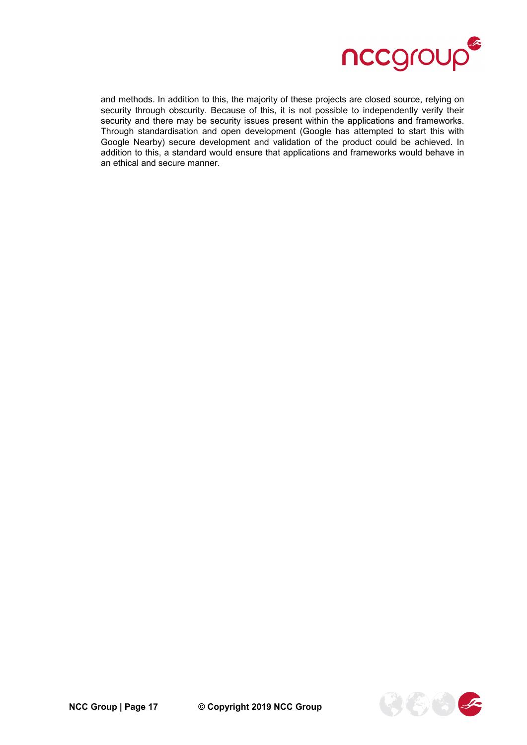

and methods. In addition to this, the majority of these projects are closed source, relying on security through obscurity. Because of this, it is not possible to independently verify their security and there may be security issues present within the applications and frameworks. Through standardisation and open development (Google has attempted to start this with Google Nearby) secure development and validation of the product could be achieved. In addition to this, a standard would ensure that applications and frameworks would behave in an ethical and secure manner.

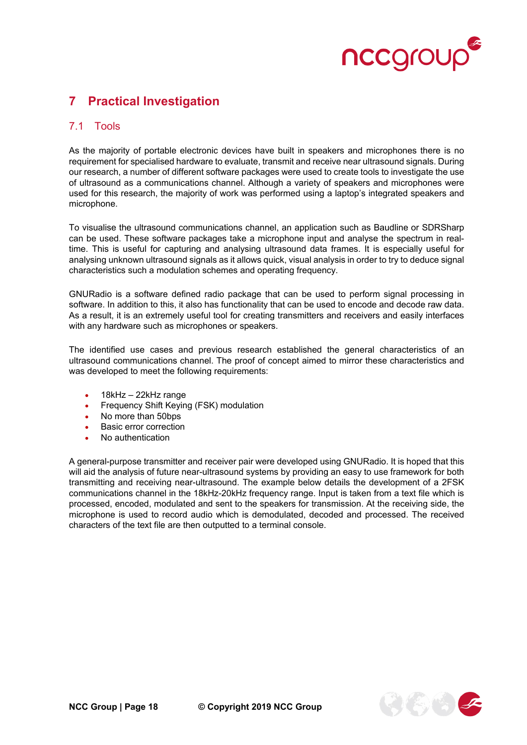

### <span id="page-17-0"></span>**7 Practical Investigation**

#### <span id="page-17-1"></span>7.1 Tools

As the majority of portable electronic devices have built in speakers and microphones there is no requirement for specialised hardware to evaluate, transmit and receive near ultrasound signals. During our research, a number of different software packages were used to create tools to investigate the use of ultrasound as a communications channel. Although a variety of speakers and microphones were used for this research, the majority of work was performed using a laptop's integrated speakers and microphone.

To visualise the ultrasound communications channel, an application such as Baudline or SDRSharp can be used. These software packages take a microphone input and analyse the spectrum in realtime. This is useful for capturing and analysing ultrasound data frames. It is especially useful for analysing unknown ultrasound signals as it allows quick, visual analysis in order to try to deduce signal characteristics such a modulation schemes and operating frequency.

GNURadio is a software defined radio package that can be used to perform signal processing in software. In addition to this, it also has functionality that can be used to encode and decode raw data. As a result, it is an extremely useful tool for creating transmitters and receivers and easily interfaces with any hardware such as microphones or speakers.

The identified use cases and previous research established the general characteristics of an ultrasound communications channel. The proof of concept aimed to mirror these characteristics and was developed to meet the following requirements:

- 18kHz 22kHz range
- Frequency Shift Keying (FSK) modulation
- No more than 50bps
- Basic error correction
- No authentication

A general-purpose transmitter and receiver pair were developed using GNURadio. It is hoped that this will aid the analysis of future near-ultrasound systems by providing an easy to use framework for both transmitting and receiving near-ultrasound. The example below details the development of a 2FSK communications channel in the 18kHz-20kHz frequency range. Input is taken from a text file which is processed, encoded, modulated and sent to the speakers for transmission. At the receiving side, the microphone is used to record audio which is demodulated, decoded and processed. The received characters of the text file are then outputted to a terminal console.

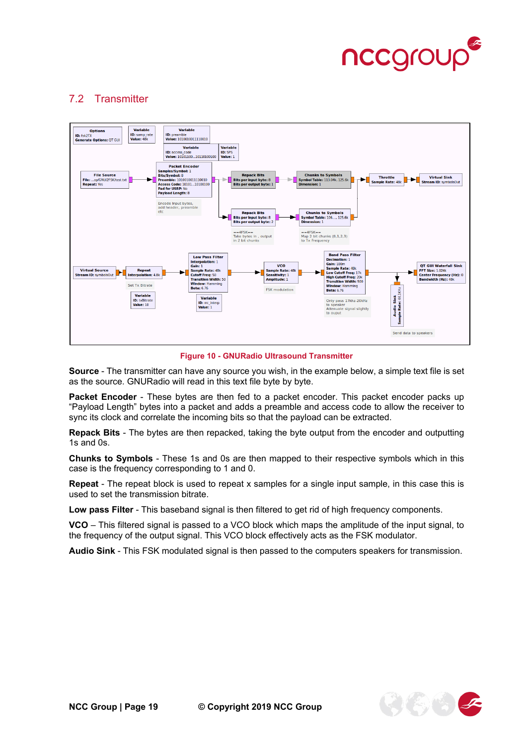

#### <span id="page-18-0"></span>7.2 Transmitter



**Figure 10 - GNURadio Ultrasound Transmitter**

**Source** - The transmitter can have any source you wish, in the example below, a simple text file is set as the source. GNURadio will read in this text file byte by byte.

**Packet Encoder** - These bytes are then fed to a packet encoder. This packet encoder packs up "Payload Length" bytes into a packet and adds a preamble and access code to allow the receiver to sync its clock and correlate the incoming bits so that the payload can be extracted.

**Repack Bits** - The bytes are then repacked, taking the byte output from the encoder and outputting 1s and 0s.

**Chunks to Symbols** - These 1s and 0s are then mapped to their respective symbols which in this case is the frequency corresponding to 1 and 0.

**Repeat** - The repeat block is used to repeat x samples for a single input sample, in this case this is used to set the transmission bitrate.

**Low pass Filter** - This baseband signal is then filtered to get rid of high frequency components.

**VCO** – This filtered signal is passed to a VCO block which maps the amplitude of the input signal, to the frequency of the output signal. This VCO block effectively acts as the FSK modulator.

**Audio Sink** - This FSK modulated signal is then passed to the computers speakers for transmission.

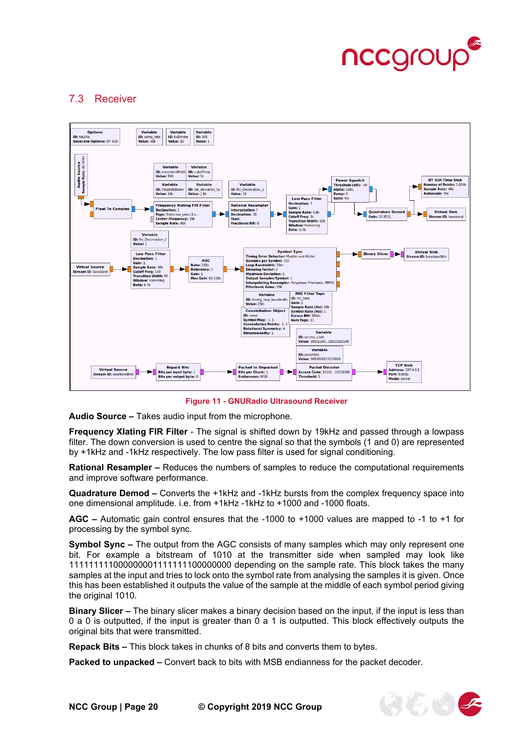

#### <span id="page-19-0"></span>7.3 Receiver



**Figure 11 - GNURadio Ultrasound Receiver**

**Audio Source –** Takes audio input from the microphone.

**Frequency XIating FIR Filter** - The signal is shifted down by 19kHz and passed through a lowpass filter. The down conversion is used to centre the signal so that the symbols (1 and 0) are represented by +1kHz and -1kHz respectively. The low pass filter is used for signal conditioning.

**Rational Resampler –** Reduces the numbers of samples to reduce the computational requirements and improve software performance.

**Quadrature Demod –** Converts the +1kHz and -1kHz bursts from the complex frequency space into one dimensional amplitude. i.e. from +1kHz -1kHz to +1000 and -1000 floats.

**AGC –** Automatic gain control ensures that the -1000 to +1000 values are mapped to -1 to +1 for processing by the symbol sync.

**Symbol Sync –** The output from the AGC consists of many samples which may only represent one bit. For example a bitstream of 1010 at the transmitter side when sampled may look like 111111111000000001111111100000000 depending on the sample rate. This block takes the many samples at the input and tries to lock onto the symbol rate from analysing the samples it is given. Once this has been established it outputs the value of the sample at the middle of each symbol period giving the original 1010.

**Binary Slicer –** The binary slicer makes a binary decision based on the input, if the input is less than 0 a 0 is outputted, if the input is greater than 0 a 1 is outputted. This block effectively outputs the original bits that were transmitted.

**Repack Bits –** This block takes in chunks of 8 bits and converts them to bytes.

**Packed to unpacked –** Convert back to bits with MSB endianness for the packet decoder.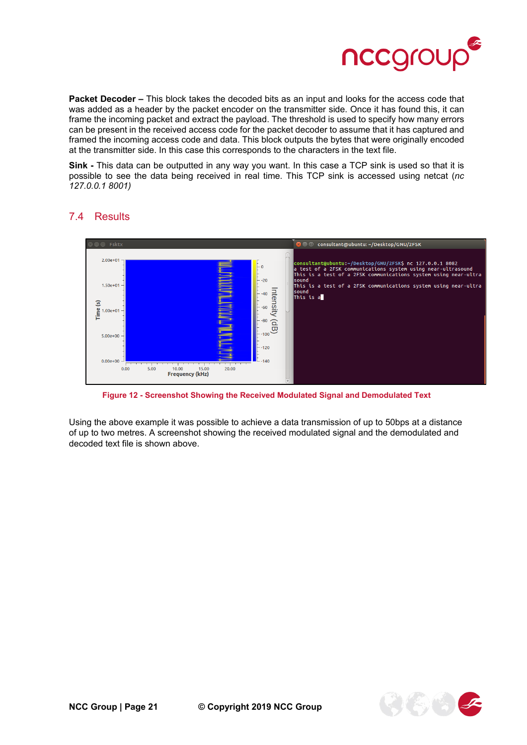

**Packet Decoder –** This block takes the decoded bits as an input and looks for the access code that was added as a header by the packet encoder on the transmitter side. Once it has found this, it can frame the incoming packet and extract the payload. The threshold is used to specify how many errors can be present in the received access code for the packet decoder to assume that it has captured and framed the incoming access code and data. This block outputs the bytes that were originally encoded at the transmitter side. In this case this corresponds to the characters in the text file.

**Sink -** This data can be outputted in any way you want. In this case a TCP sink is used so that it is possible to see the data being received in real time. This TCP sink is accessed using netcat (*nc 127.0.0.1 8001)*



### <span id="page-20-0"></span>7.4 Results

**Figure 12 - Screenshot Showing the Received Modulated Signal and Demodulated Text**

Using the above example it was possible to achieve a data transmission of up to 50bps at a distance of up to two metres. A screenshot showing the received modulated signal and the demodulated and decoded text file is shown above.